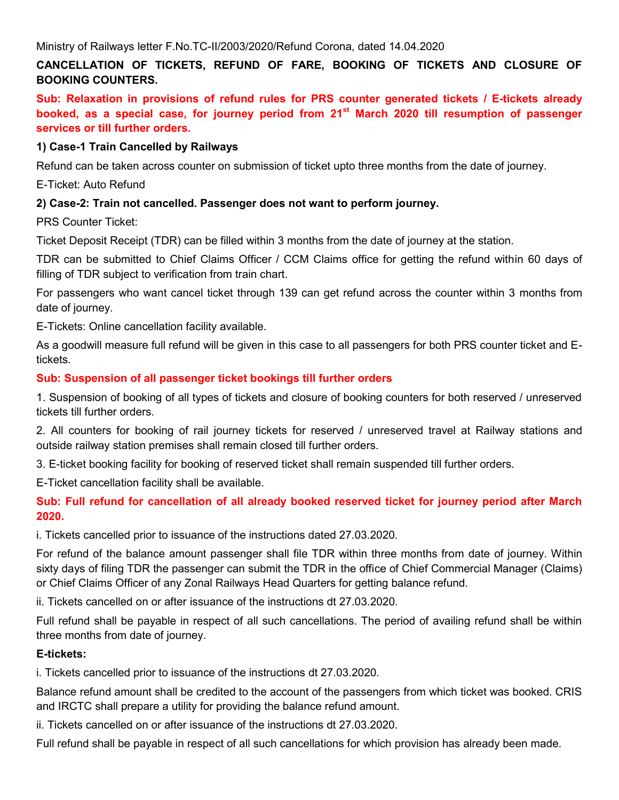# **CANCELLATION OF TICKETS, REFUND OF FARE, BOOKING OF TICKETS AND CLOSURE OF BOOKING COUNTERS.**

**Sub: Relaxation in provisions of refund rules for PRS counter generated tickets / E-tickets already booked, as a special case, for journey period from 21st March 2020 till resumption of passenger services or till further orders.** 

#### **1) Case-1 Train Cancelled by Railways**

Refund can be taken across counter on submission of ticket upto three months from the date of journey.

E-Ticket: Auto Refund

### **2) Case-2: Train not cancelled. Passenger does not want to perform journey.**

PRS Counter Ticket:

Ticket Deposit Receipt (TDR) can be filled within 3 months from the date of journey at the station.

TDR can be submitted to Chief Claims Officer / CCM Claims office for getting the refund within 60 days of filling of TDR subject to verification from train chart.

For passengers who want cancel ticket through 139 can get refund across the counter within 3 months from date of journey.

E-Tickets: Online cancellation facility available.

As a goodwill measure full refund will be given in this case to all passengers for both PRS counter ticket and Etickets.

#### **Sub: Suspension of all passenger ticket bookings till further orders**

1. Suspension of booking of all types of tickets and closure of booking counters for both reserved / unreserved tickets till further orders.

2. All counters for booking of rail journey tickets for reserved / unreserved travel at Railway stations and outside railway station premises shall remain closed till further orders.

3. E-ticket booking facility for booking of reserved ticket shall remain suspended till further orders.

E-Ticket cancellation facility shall be available.

**Sub: Full refund for cancellation of all already booked reserved ticket for journey period after March 2020.**

i. Tickets cancelled prior to issuance of the instructions dated 27.03.2020.

For refund of the balance amount passenger shall file TDR within three months from date of journey. Within sixty days of filing TDR the passenger can submit the TDR in the office of Chief Commercial Manager (Claims) or Chief Claims Officer of any Zonal Railways Head Quarters for getting balance refund.

ii. Tickets cancelled on or after issuance of the instructions dt 27.03.2020.

Full refund shall be payable in respect of all such cancellations. The period of availing refund shall be within three months from date of journey.

### **E-tickets:**

i. Tickets cancelled prior to issuance of the instructions dt 27.03.2020.

Balance refund amount shall be credited to the account of the passengers from which ticket was booked. CRIS and IRCTC shall prepare a utility for providing the balance refund amount.

ii. Tickets cancelled on or after issuance of the instructions dt 27.03.2020.

Full refund shall be payable in respect of all such cancellations for which provision has already been made.